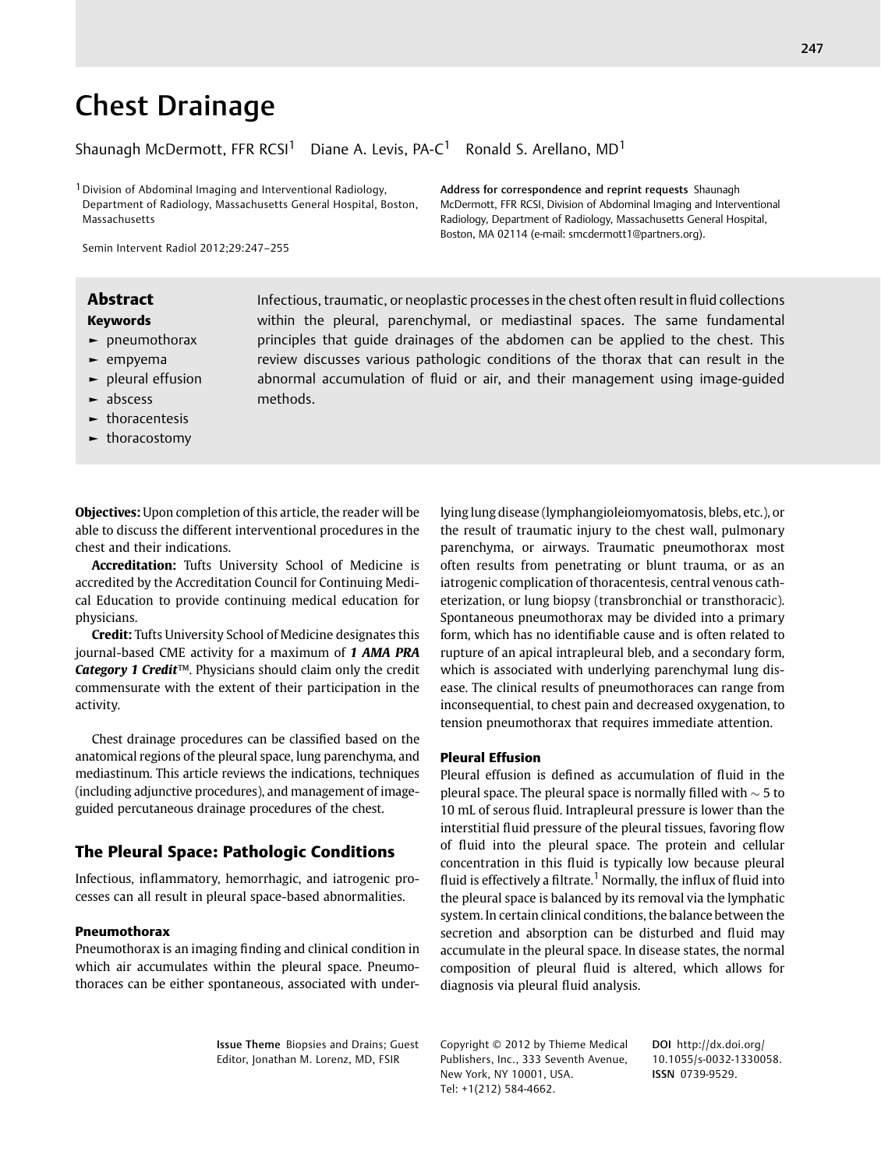# Chest Drainage

Shaunagh McDermott, FFR RCSI<sup>1</sup> Diane A. Levis, PA-C<sup>1</sup> Ronald S. Arellano, MD<sup>1</sup>

<sup>1</sup> Division of Abdominal Imaging and Interventional Radiology, Department of Radiology, Massachusetts General Hospital, Boston, Massachusetts

Address for correspondence and reprint requests Shaunagh McDermott, FFR RCSI, Division of Abdominal Imaging and Interventional Radiology, Department of Radiology, Massachusetts General Hospital, Boston, MA 02114 (e-mail: smcdermott1@partners.org).

within the pleural, parenchymal, or mediastinal spaces. The same fundamental principles that guide drainages of the abdomen can be applied to the chest. This review discusses various pathologic conditions of the thorax that can result in the abnormal accumulation of fluid or air, and their management using image-guided

Semin Intervent Radiol 2012;29:247–255

# Keywords Abstract Infectious, traumatic, or neoplastic processes in the chest often result in fluid collections

- ► pneumothorax
- ► empyema
- ► pleural effusion
- ► abscess
- ► thoracentesis
- ► thoracostomy

chest and their indications.

Objectives: Upon completion of this article, the reader will be able to discuss the different interventional procedures in the

methods.

Accreditation: Tufts University School of Medicine is accredited by the Accreditation Council for Continuing Medical Education to provide continuing medical education for physicians.

Credit: Tufts University School of Medicine designates this journal-based CME activity for a maximum of 1 AMA PRA Category 1 Credit™. Physicians should claim only the credit commensurate with the extent of their participation in the activity.

Chest drainage procedures can be classified based on the anatomical regions of the pleural space, lung parenchyma, and mediastinum. This article reviews the indications, techniques (including adjunctive procedures), and management of imageguided percutaneous drainage procedures of the chest.

# The Pleural Space: Pathologic Conditions

Infectious, inflammatory, hemorrhagic, and iatrogenic processes can all result in pleural space-based abnormalities.

## Pneumothorax

Pneumothorax is an imaging finding and clinical condition in which air accumulates within the pleural space. Pneumothoraces can be either spontaneous, associated with underlying lung disease (lymphangioleiomyomatosis, blebs, etc.), or the result of traumatic injury to the chest wall, pulmonary parenchyma, or airways. Traumatic pneumothorax most often results from penetrating or blunt trauma, or as an iatrogenic complication of thoracentesis, central venous catheterization, or lung biopsy (transbronchial or transthoracic). Spontaneous pneumothorax may be divided into a primary form, which has no identifiable cause and is often related to rupture of an apical intrapleural bleb, and a secondary form, which is associated with underlying parenchymal lung disease. The clinical results of pneumothoraces can range from inconsequential, to chest pain and decreased oxygenation, to tension pneumothorax that requires immediate attention.

### Pleural Effusion

Pleural effusion is defined as accumulation of fluid in the pleural space. The pleural space is normally filled with  $\sim$  5 to 10 mL of serous fluid. Intrapleural pressure is lower than the interstitial fluid pressure of the pleural tissues, favoring flow of fluid into the pleural space. The protein and cellular concentration in this fluid is typically low because pleural fluid is effectively a filtrate.<sup>1</sup> Normally, the influx of fluid into the pleural space is balanced by its removal via the lymphatic system. In certain clinical conditions, the balance between the secretion and absorption can be disturbed and fluid may accumulate in the pleural space. In disease states, the normal composition of pleural fluid is altered, which allows for diagnosis via pleural fluid analysis.

Issue Theme Biopsies and Drains; Guest Editor, Jonathan M. Lorenz, MD, FSIR

Copyright © 2012 by Thieme Medical Publishers, Inc., 333 Seventh Avenue, New York, NY 10001, USA. Tel: +1(212) 584-4662.

DOI http://dx.doi.org/ 10.1055/s-0032-1330058. ISSN 0739-9529.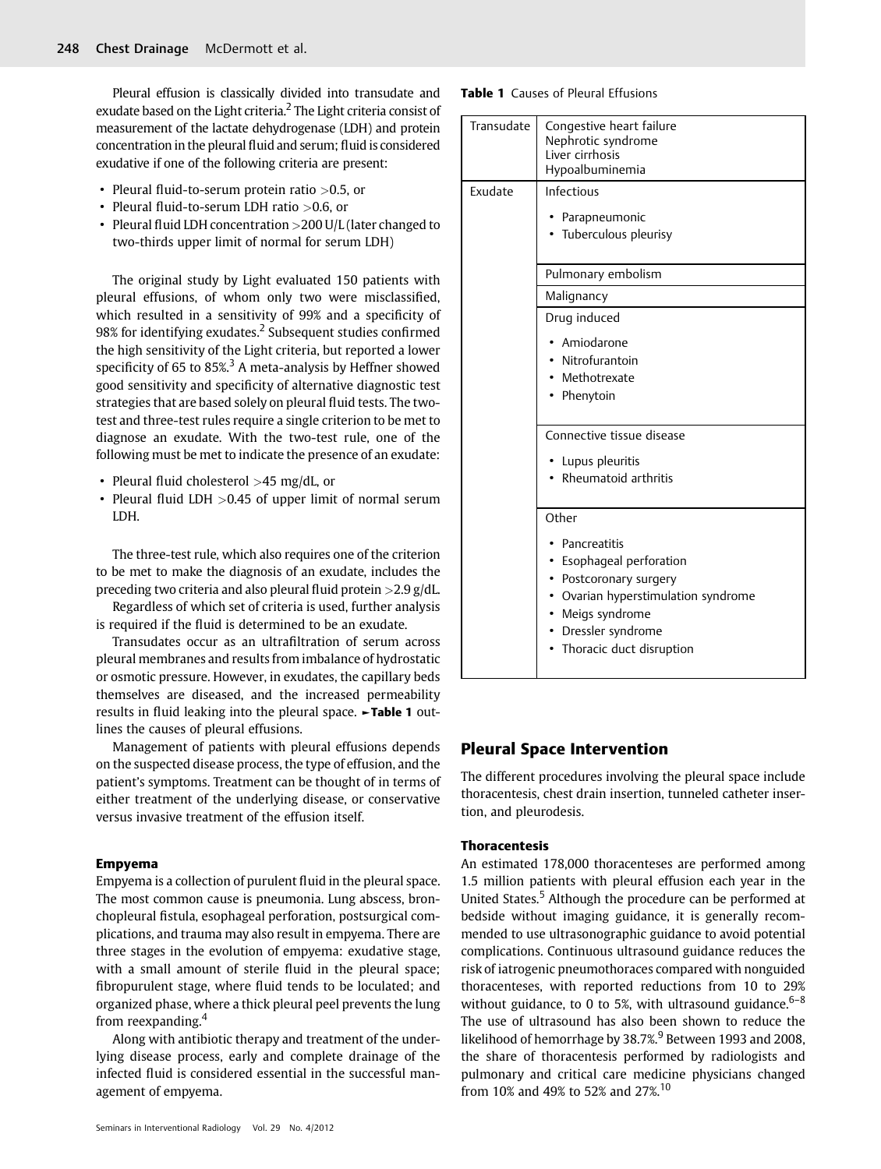Pleural effusion is classically divided into transudate and exudate based on the Light criteria.<sup>2</sup> The Light criteria consist of measurement of the lactate dehydrogenase (LDH) and protein concentration in the pleural fluid and serum; fluid is considered exudative if one of the following criteria are present:

- Pleural fluid-to-serum protein ratio  $>0.5$ , or
- Pleural fluid-to-serum LDH ratio >0.6, or
- Pleural fluid LDH concentration > 200 U/L (later changed to two-thirds upper limit of normal for serum LDH)

The original study by Light evaluated 150 patients with pleural effusions, of whom only two were misclassified, which resulted in a sensitivity of 99% and a specificity of 98% for identifying exudates.<sup>2</sup> Subsequent studies confirmed the high sensitivity of the Light criteria, but reported a lower specificity of 65 to 85%.<sup>3</sup> A meta-analysis by Heffner showed good sensitivity and specificity of alternative diagnostic test strategies that are based solely on pleural fluid tests. The twotest and three-test rules require a single criterion to be met to diagnose an exudate. With the two-test rule, one of the following must be met to indicate the presence of an exudate:

- Pleural fluid cholesterol >45 mg/dL, or
- Pleural fluid LDH > 0.45 of upper limit of normal serum LDH.

The three-test rule, which also requires one of the criterion to be met to make the diagnosis of an exudate, includes the preceding two criteria and also pleural fluid protein >2.9 g/dL.

Regardless of which set of criteria is used, further analysis is required if the fluid is determined to be an exudate.

Transudates occur as an ultrafiltration of serum across pleural membranes and results from imbalance of hydrostatic or osmotic pressure. However, in exudates, the capillary beds themselves are diseased, and the increased permeability results in fluid leaking into the pleural space. ►Table 1 outlines the causes of pleural effusions.

Management of patients with pleural effusions depends on the suspected disease process, the type of effusion, and the patient's symptoms. Treatment can be thought of in terms of either treatment of the underlying disease, or conservative versus invasive treatment of the effusion itself.

#### Empyema

Empyema is a collection of purulent fluid in the pleural space. The most common cause is pneumonia. Lung abscess, bronchopleural fistula, esophageal perforation, postsurgical complications, and trauma may also result in empyema. There are three stages in the evolution of empyema: exudative stage, with a small amount of sterile fluid in the pleural space; fibropurulent stage, where fluid tends to be loculated; and organized phase, where a thick pleural peel prevents the lung from reexpanding.<sup>4</sup>

Along with antibiotic therapy and treatment of the underlying disease process, early and complete drainage of the infected fluid is considered essential in the successful management of empyema.

#### **Table 1** Causes of Pleural Effusions

| Transudate | Congestive heart failure<br>Nephrotic syndrome<br>Liver cirrhosis<br>Hypoalbuminemia                                          |
|------------|-------------------------------------------------------------------------------------------------------------------------------|
| Exudate    | Infectious<br>Parapneumonic<br>Tuberculous pleurisy                                                                           |
|            | Pulmonary embolism                                                                                                            |
|            | Malignancy                                                                                                                    |
|            | Drug induced                                                                                                                  |
|            | Amiodarone<br>Nitrofurantoin<br>Methotrexate<br>• Phenytoin                                                                   |
|            | Connective tissue disease                                                                                                     |
|            | Lupus pleuritis                                                                                                               |
|            | Rheumatoid arthritis                                                                                                          |
|            | Other                                                                                                                         |
|            | Pancreatitis<br>• Esophageal perforation<br>• Postcoronary surgery<br>• Ovarian hyperstimulation syndrome<br>• Meigs syndrome |
|            | Dressler syndrome                                                                                                             |

• Thoracic duct disruption

# Pleural Space Intervention

The different procedures involving the pleural space include thoracentesis, chest drain insertion, tunneled catheter insertion, and pleurodesis.

## Thoracentesis

An estimated 178,000 thoracenteses are performed among 1.5 million patients with pleural effusion each year in the United States.<sup>5</sup> Although the procedure can be performed at bedside without imaging guidance, it is generally recommended to use ultrasonographic guidance to avoid potential complications. Continuous ultrasound guidance reduces the risk of iatrogenic pneumothoraces compared with nonguided thoracenteses, with reported reductions from 10 to 29% without guidance, to 0 to 5%, with ultrasound guidance. $6-8$ The use of ultrasound has also been shown to reduce the likelihood of hemorrhage by  $38.7\%$ <sup>9</sup> Between 1993 and 2008, the share of thoracentesis performed by radiologists and pulmonary and critical care medicine physicians changed from 10% and 49% to 52% and 27%.<sup>10</sup>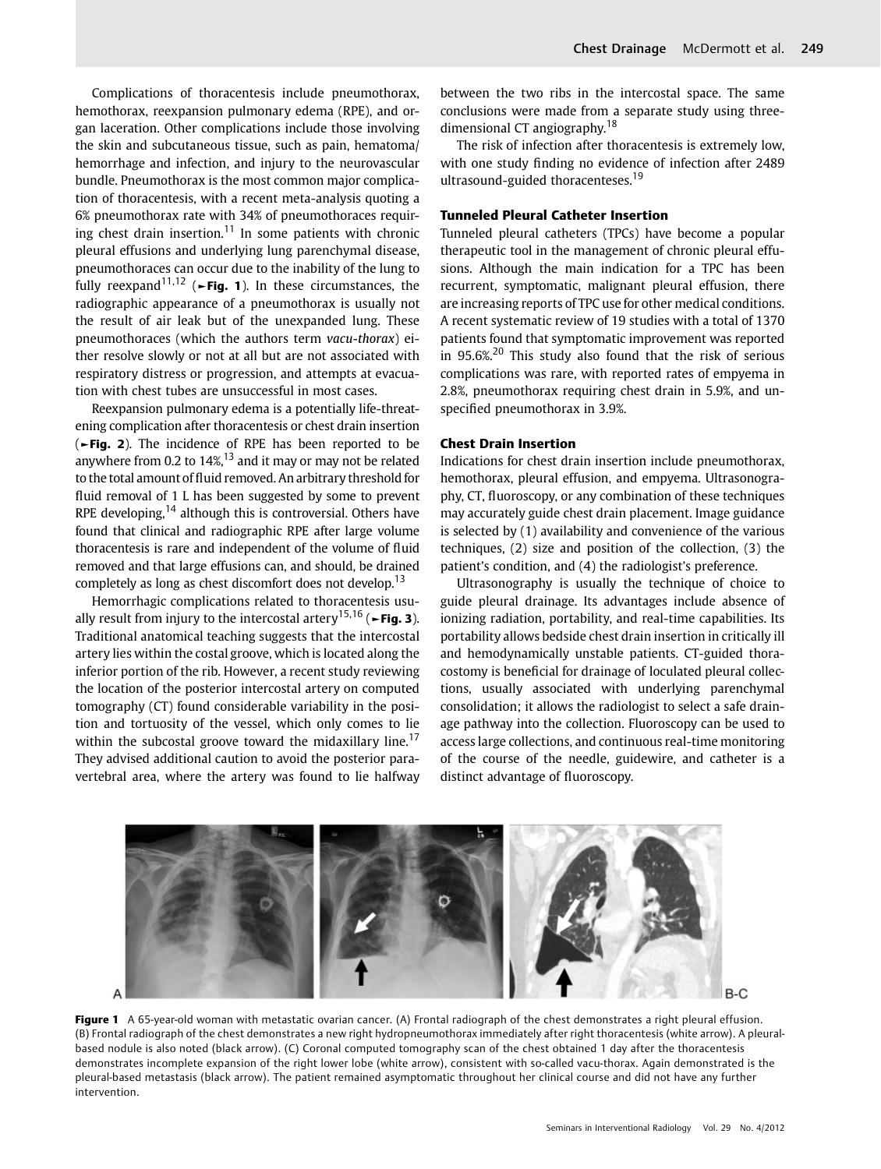Complications of thoracentesis include pneumothorax, hemothorax, reexpansion pulmonary edema (RPE), and organ laceration. Other complications include those involving the skin and subcutaneous tissue, such as pain, hematoma/ hemorrhage and infection, and injury to the neurovascular bundle. Pneumothorax is the most common major complication of thoracentesis, with a recent meta-analysis quoting a 6% pneumothorax rate with 34% of pneumothoraces requiring chest drain insertion.<sup>11</sup> In some patients with chronic pleural effusions and underlying lung parenchymal disease, pneumothoraces can occur due to the inability of the lung to fully reexpand<sup>11,12</sup> ( $\blacktriangleright$ Fig. 1). In these circumstances, the radiographic appearance of a pneumothorax is usually not the result of air leak but of the unexpanded lung. These pneumothoraces (which the authors term vacu-thorax) either resolve slowly or not at all but are not associated with respiratory distress or progression, and attempts at evacuation with chest tubes are unsuccessful in most cases.

Reexpansion pulmonary edema is a potentially life-threatening complication after thoracentesis or chest drain insertion (►Fig. 2). The incidence of RPE has been reported to be anywhere from 0.2 to  $14\%,^{13}$  and it may or may not be related to the total amount of fluid removed. An arbitrary threshold for fluid removal of 1 L has been suggested by some to prevent RPE developing,<sup>14</sup> although this is controversial. Others have found that clinical and radiographic RPE after large volume thoracentesis is rare and independent of the volume of fluid removed and that large effusions can, and should, be drained completely as long as chest discomfort does not develop.<sup>13</sup>

Hemorrhagic complications related to thoracentesis usually result from injury to the intercostal artery<sup>15,16</sup> ( $\blacktriangleright$ Fig. 3). Traditional anatomical teaching suggests that the intercostal artery lies within the costal groove, which is located along the inferior portion of the rib. However, a recent study reviewing the location of the posterior intercostal artery on computed tomography (CT) found considerable variability in the position and tortuosity of the vessel, which only comes to lie within the subcostal groove toward the midaxillary line.<sup>17</sup> They advised additional caution to avoid the posterior paravertebral area, where the artery was found to lie halfway between the two ribs in the intercostal space. The same conclusions were made from a separate study using threedimensional CT angiography.<sup>18</sup>

The risk of infection after thoracentesis is extremely low, with one study finding no evidence of infection after 2489 ultrasound-guided thoracenteses.<sup>19</sup>

#### Tunneled Pleural Catheter Insertion

Tunneled pleural catheters (TPCs) have become a popular therapeutic tool in the management of chronic pleural effusions. Although the main indication for a TPC has been recurrent, symptomatic, malignant pleural effusion, there are increasing reports of TPC use for other medical conditions. A recent systematic review of 19 studies with a total of 1370 patients found that symptomatic improvement was reported in 95.6%.<sup>20</sup> This study also found that the risk of serious complications was rare, with reported rates of empyema in 2.8%, pneumothorax requiring chest drain in 5.9%, and unspecified pneumothorax in 3.9%.

#### Chest Drain Insertion

Indications for chest drain insertion include pneumothorax, hemothorax, pleural effusion, and empyema. Ultrasonography, CT, fluoroscopy, or any combination of these techniques may accurately guide chest drain placement. Image guidance is selected by (1) availability and convenience of the various techniques, (2) size and position of the collection, (3) the patient's condition, and (4) the radiologist's preference.

Ultrasonography is usually the technique of choice to guide pleural drainage. Its advantages include absence of ionizing radiation, portability, and real-time capabilities. Its portability allows bedside chest drain insertion in critically ill and hemodynamically unstable patients. CT-guided thoracostomy is beneficial for drainage of loculated pleural collections, usually associated with underlying parenchymal consolidation; it allows the radiologist to select a safe drainage pathway into the collection. Fluoroscopy can be used to access large collections, and continuous real-time monitoring of the course of the needle, guidewire, and catheter is a distinct advantage of fluoroscopy.



Figure 1 A 65-year-old woman with metastatic ovarian cancer. (A) Frontal radiograph of the chest demonstrates a right pleural effusion. (B) Frontal radiograph of the chest demonstrates a new right hydropneumothorax immediately after right thoracentesis (white arrow). A pleuralbased nodule is also noted (black arrow). (C) Coronal computed tomography scan of the chest obtained 1 day after the thoracentesis demonstrates incomplete expansion of the right lower lobe (white arrow), consistent with so-called vacu-thorax. Again demonstrated is the pleural-based metastasis (black arrow). The patient remained asymptomatic throughout her clinical course and did not have any further intervention.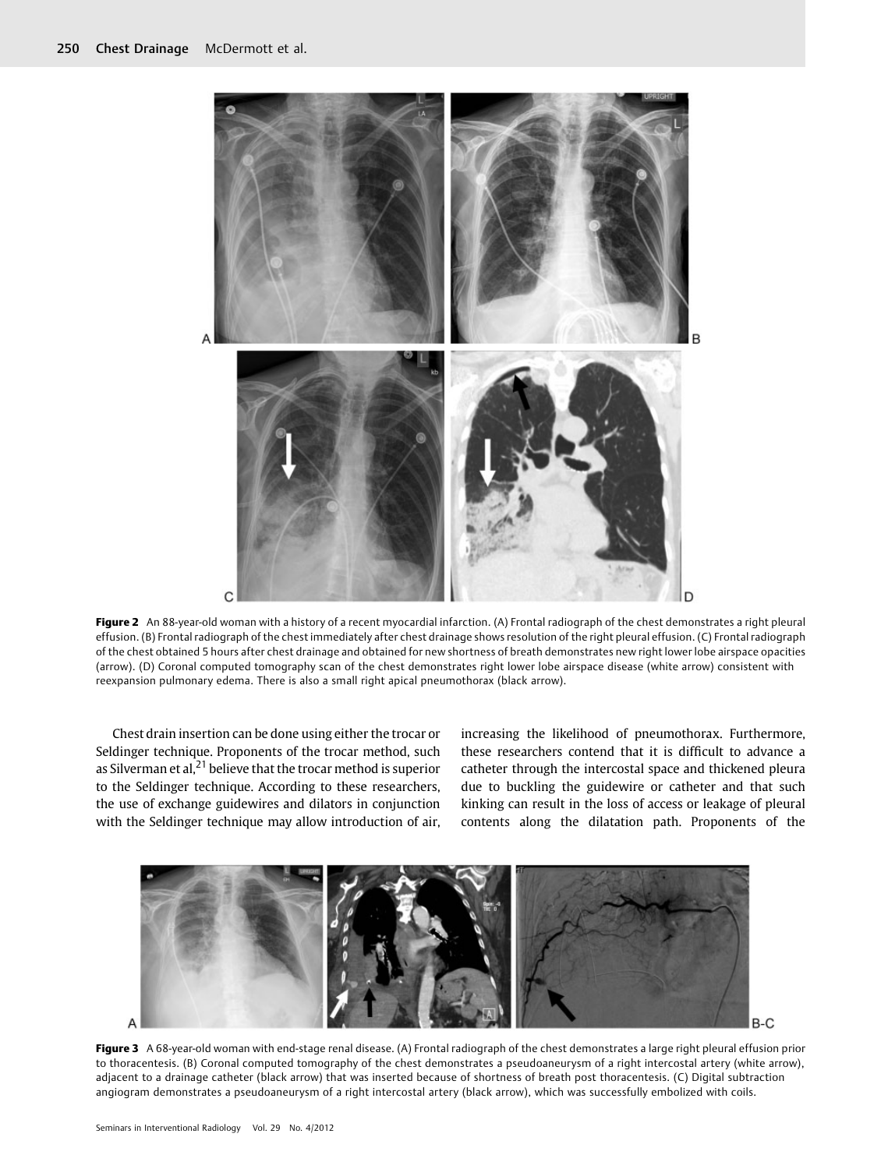

Figure 2 An 88-year-old woman with a history of a recent myocardial infarction. (A) Frontal radiograph of the chest demonstrates a right pleural effusion. (B) Frontal radiograph of the chest immediately after chest drainage shows resolution of the right pleural effusion. (C) Frontal radiograph of the chest obtained 5 hours after chest drainage and obtained for new shortness of breath demonstrates new right lower lobe airspace opacities (arrow). (D) Coronal computed tomography scan of the chest demonstrates right lower lobe airspace disease (white arrow) consistent with reexpansion pulmonary edema. There is also a small right apical pneumothorax (black arrow).

Chest drain insertion can be done using either the trocar or Seldinger technique. Proponents of the trocar method, such as Silverman et al,  $21$  believe that the trocar method is superior to the Seldinger technique. According to these researchers, the use of exchange guidewires and dilators in conjunction with the Seldinger technique may allow introduction of air,

increasing the likelihood of pneumothorax. Furthermore, these researchers contend that it is difficult to advance a catheter through the intercostal space and thickened pleura due to buckling the guidewire or catheter and that such kinking can result in the loss of access or leakage of pleural contents along the dilatation path. Proponents of the



Figure 3 A 68-year-old woman with end-stage renal disease. (A) Frontal radiograph of the chest demonstrates a large right pleural effusion prior to thoracentesis. (B) Coronal computed tomography of the chest demonstrates a pseudoaneurysm of a right intercostal artery (white arrow), adjacent to a drainage catheter (black arrow) that was inserted because of shortness of breath post thoracentesis. (C) Digital subtraction angiogram demonstrates a pseudoaneurysm of a right intercostal artery (black arrow), which was successfully embolized with coils.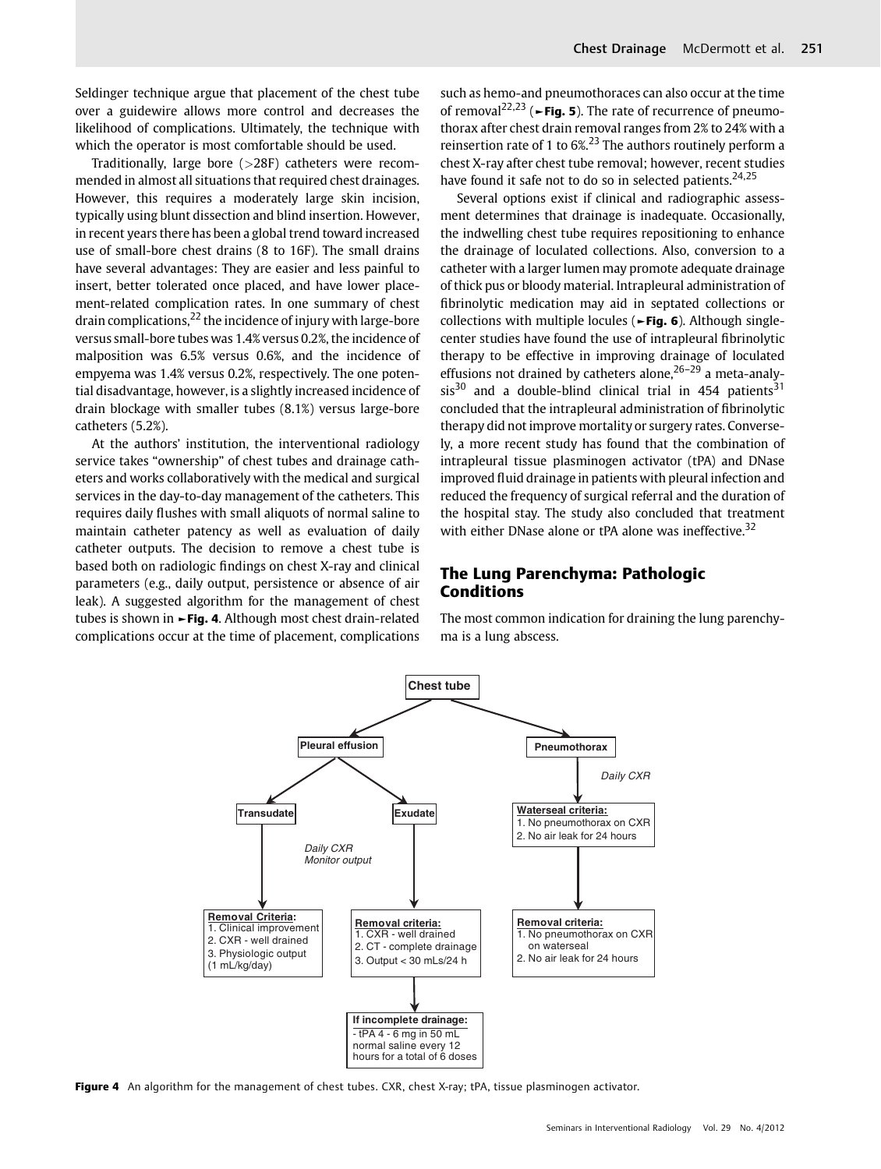Seldinger technique argue that placement of the chest tube over a guidewire allows more control and decreases the likelihood of complications. Ultimately, the technique with which the operator is most comfortable should be used.

Traditionally, large bore  $(>28F)$  catheters were recommended in almost all situations that required chest drainages. However, this requires a moderately large skin incision, typically using blunt dissection and blind insertion. However, in recent years there has been a global trend toward increased use of small-bore chest drains (8 to 16F). The small drains have several advantages: They are easier and less painful to insert, better tolerated once placed, and have lower placement-related complication rates. In one summary of chest drain complications, $^{22}$  the incidence of injury with large-bore versus small-bore tubes was 1.4% versus 0.2%, the incidence of malposition was 6.5% versus 0.6%, and the incidence of empyema was 1.4% versus 0.2%, respectively. The one potential disadvantage, however, is a slightly increased incidence of drain blockage with smaller tubes (8.1%) versus large-bore catheters (5.2%).

At the authors' institution, the interventional radiology service takes "ownership" of chest tubes and drainage catheters and works collaboratively with the medical and surgical services in the day-to-day management of the catheters. This requires daily flushes with small aliquots of normal saline to maintain catheter patency as well as evaluation of daily catheter outputs. The decision to remove a chest tube is based both on radiologic findings on chest X-ray and clinical parameters (e.g., daily output, persistence or absence of air leak). A suggested algorithm for the management of chest tubes is shown in ►Fig. 4. Although most chest drain-related complications occur at the time of placement, complications such as hemo-and pneumothoraces can also occur at the time of removal<sup>22,23</sup> ( $\blacktriangleright$ Fig. 5). The rate of recurrence of pneumothorax after chest drain removal ranges from 2% to 24% with a reinsertion rate of 1 to  $6\frac{23}{1}$  The authors routinely perform a chest X-ray after chest tube removal; however, recent studies have found it safe not to do so in selected patients. $24,25$ 

Several options exist if clinical and radiographic assessment determines that drainage is inadequate. Occasionally, the indwelling chest tube requires repositioning to enhance the drainage of loculated collections. Also, conversion to a catheter with a larger lumen may promote adequate drainage of thick pus or bloody material. Intrapleural administration of fibrinolytic medication may aid in septated collections or collections with multiple locules (►Fig. 6). Although singlecenter studies have found the use of intrapleural fibrinolytic therapy to be effective in improving drainage of loculated effusions not drained by catheters alone,  $26-29$  a meta-analy $sis^{30}$  and a double-blind clinical trial in 454 patients<sup>31</sup> concluded that the intrapleural administration of fibrinolytic therapy did not improve mortality or surgery rates. Conversely, a more recent study has found that the combination of intrapleural tissue plasminogen activator (tPA) and DNase improved fluid drainage in patients with pleural infection and reduced the frequency of surgical referral and the duration of the hospital stay. The study also concluded that treatment with either DNase alone or tPA alone was ineffective.<sup>32</sup>

# The Lung Parenchyma: Pathologic Conditions

The most common indication for draining the lung parenchyma is a lung abscess.



Figure 4 An algorithm for the management of chest tubes. CXR, chest X-ray; tPA, tissue plasminogen activator.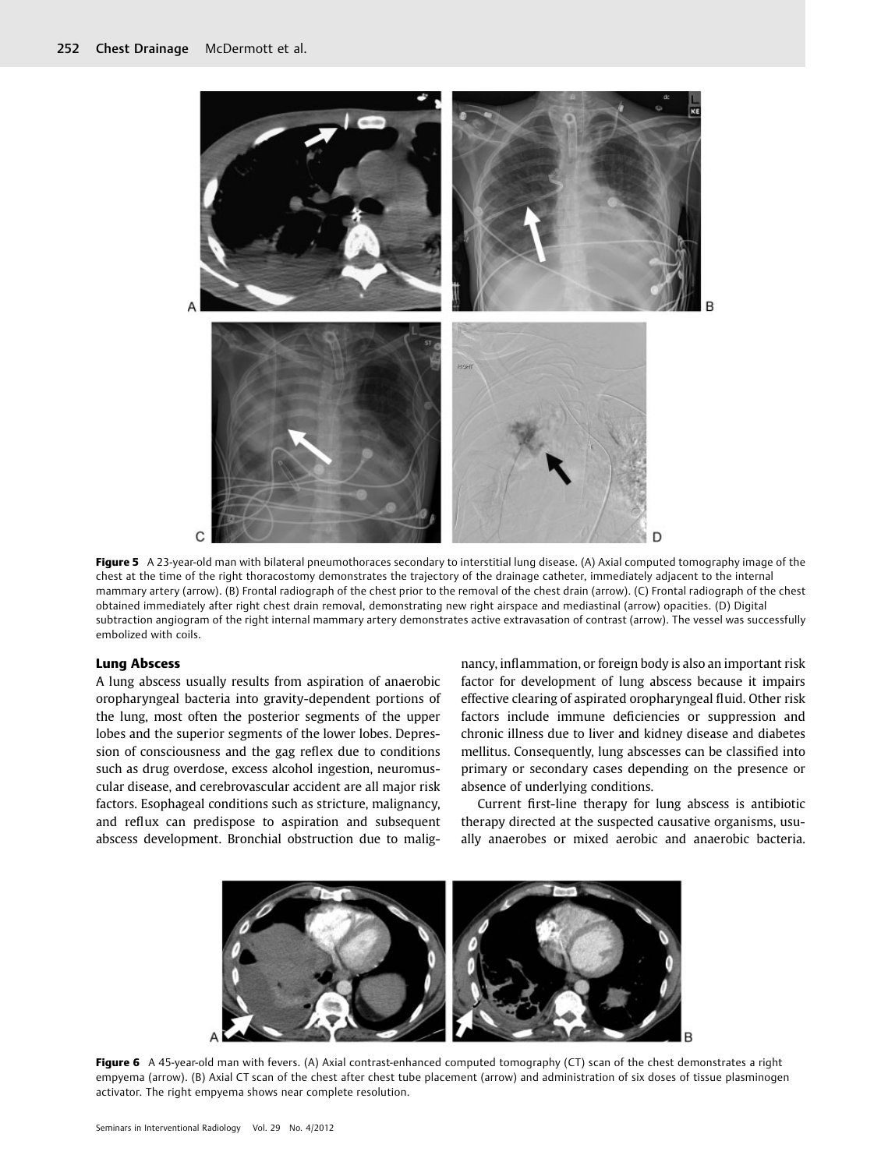

Figure 5 A 23-year-old man with bilateral pneumothoraces secondary to interstitial lung disease. (A) Axial computed tomography image of the chest at the time of the right thoracostomy demonstrates the trajectory of the drainage catheter, immediately adjacent to the internal mammary artery (arrow). (B) Frontal radiograph of the chest prior to the removal of the chest drain (arrow). (C) Frontal radiograph of the chest obtained immediately after right chest drain removal, demonstrating new right airspace and mediastinal (arrow) opacities. (D) Digital subtraction angiogram of the right internal mammary artery demonstrates active extravasation of contrast (arrow). The vessel was successfully embolized with coils.

#### Lung Abscess

A lung abscess usually results from aspiration of anaerobic oropharyngeal bacteria into gravity-dependent portions of the lung, most often the posterior segments of the upper lobes and the superior segments of the lower lobes. Depression of consciousness and the gag reflex due to conditions such as drug overdose, excess alcohol ingestion, neuromuscular disease, and cerebrovascular accident are all major risk factors. Esophageal conditions such as stricture, malignancy, and reflux can predispose to aspiration and subsequent abscess development. Bronchial obstruction due to malignancy, inflammation, or foreign body is also an important risk factor for development of lung abscess because it impairs effective clearing of aspirated oropharyngeal fluid. Other risk factors include immune deficiencies or suppression and chronic illness due to liver and kidney disease and diabetes mellitus. Consequently, lung abscesses can be classified into primary or secondary cases depending on the presence or absence of underlying conditions.

Current first-line therapy for lung abscess is antibiotic therapy directed at the suspected causative organisms, usually anaerobes or mixed aerobic and anaerobic bacteria.



Figure 6 A 45-year-old man with fevers. (A) Axial contrast-enhanced computed tomography (CT) scan of the chest demonstrates a right empyema (arrow). (B) Axial CT scan of the chest after chest tube placement (arrow) and administration of six doses of tissue plasminogen activator. The right empyema shows near complete resolution.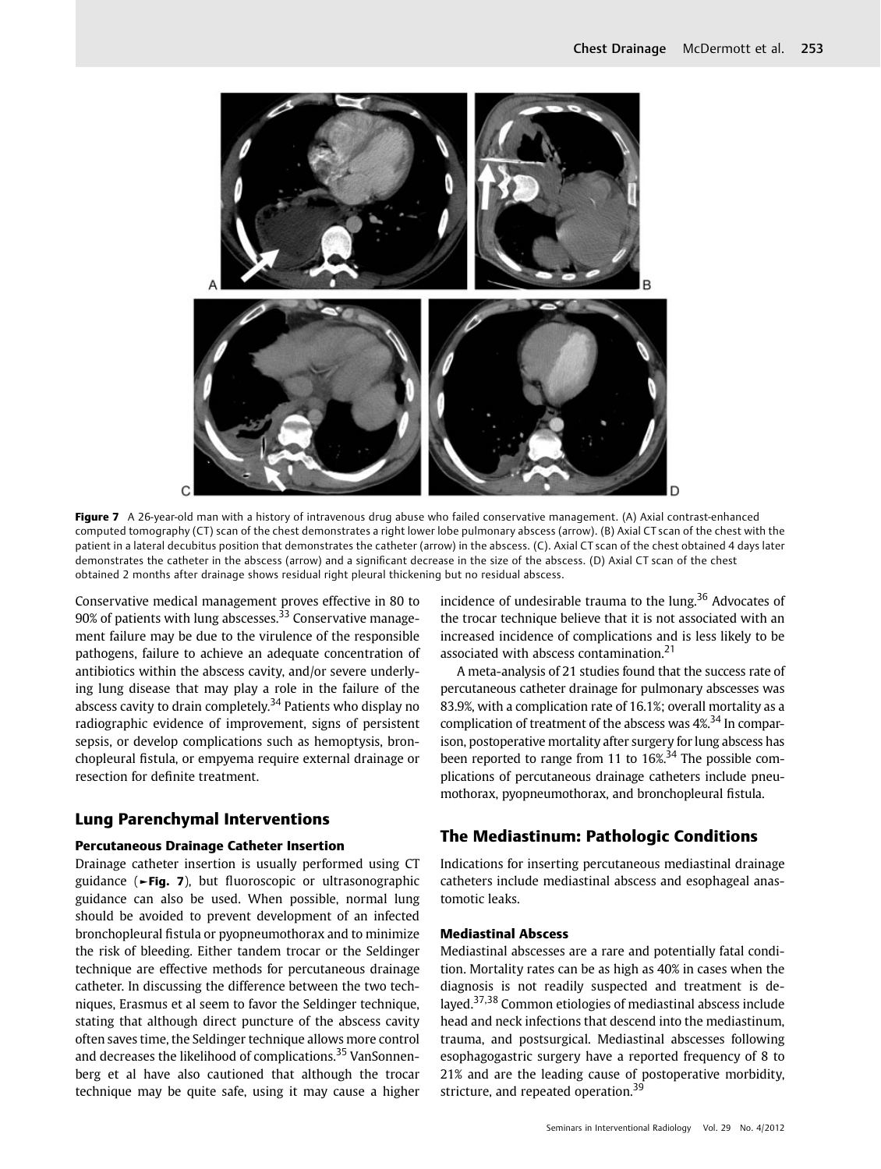

Figure 7 A 26-year-old man with a history of intravenous drug abuse who failed conservative management. (A) Axial contrast-enhanced computed tomography (CT) scan of the chest demonstrates a right lower lobe pulmonary abscess (arrow). (B) Axial CT scan of the chest with the patient in a lateral decubitus position that demonstrates the catheter (arrow) in the abscess. (C). Axial CT scan of the chest obtained 4 days later demonstrates the catheter in the abscess (arrow) and a significant decrease in the size of the abscess. (D) Axial CT scan of the chest obtained 2 months after drainage shows residual right pleural thickening but no residual abscess.

Conservative medical management proves effective in 80 to 90% of patients with lung abscesses.<sup>33</sup> Conservative management failure may be due to the virulence of the responsible pathogens, failure to achieve an adequate concentration of antibiotics within the abscess cavity, and/or severe underlying lung disease that may play a role in the failure of the abscess cavity to drain completely.<sup>34</sup> Patients who display no radiographic evidence of improvement, signs of persistent sepsis, or develop complications such as hemoptysis, bronchopleural fistula, or empyema require external drainage or resection for definite treatment.

# Lung Parenchymal Interventions

#### Percutaneous Drainage Catheter Insertion

Drainage catheter insertion is usually performed using CT guidance (►Fig. 7), but fluoroscopic or ultrasonographic guidance can also be used. When possible, normal lung should be avoided to prevent development of an infected bronchopleural fistula or pyopneumothorax and to minimize the risk of bleeding. Either tandem trocar or the Seldinger technique are effective methods for percutaneous drainage catheter. In discussing the difference between the two techniques, Erasmus et al seem to favor the Seldinger technique, stating that although direct puncture of the abscess cavity often saves time, the Seldinger technique allows more control and decreases the likelihood of complications.<sup>35</sup> VanSonnenberg et al have also cautioned that although the trocar technique may be quite safe, using it may cause a higher incidence of undesirable trauma to the lung. $36$  Advocates of the trocar technique believe that it is not associated with an increased incidence of complications and is less likely to be associated with abscess contamination.<sup>21</sup>

A meta-analysis of 21 studies found that the success rate of percutaneous catheter drainage for pulmonary abscesses was 83.9%, with a complication rate of 16.1%; overall mortality as a complication of treatment of the abscess was  $4\frac{3}{4}$  In comparison, postoperative mortality after surgery for lung abscess has been reported to range from 11 to  $16\%$ <sup>34</sup> The possible complications of percutaneous drainage catheters include pneumothorax, pyopneumothorax, and bronchopleural fistula.

# The Mediastinum: Pathologic Conditions

Indications for inserting percutaneous mediastinal drainage catheters include mediastinal abscess and esophageal anastomotic leaks.

## Mediastinal Abscess

Mediastinal abscesses are a rare and potentially fatal condition. Mortality rates can be as high as 40% in cases when the diagnosis is not readily suspected and treatment is delayed.37,38 Common etiologies of mediastinal abscess include head and neck infections that descend into the mediastinum, trauma, and postsurgical. Mediastinal abscesses following esophagogastric surgery have a reported frequency of 8 to 21% and are the leading cause of postoperative morbidity, stricture, and repeated operation.<sup>39</sup>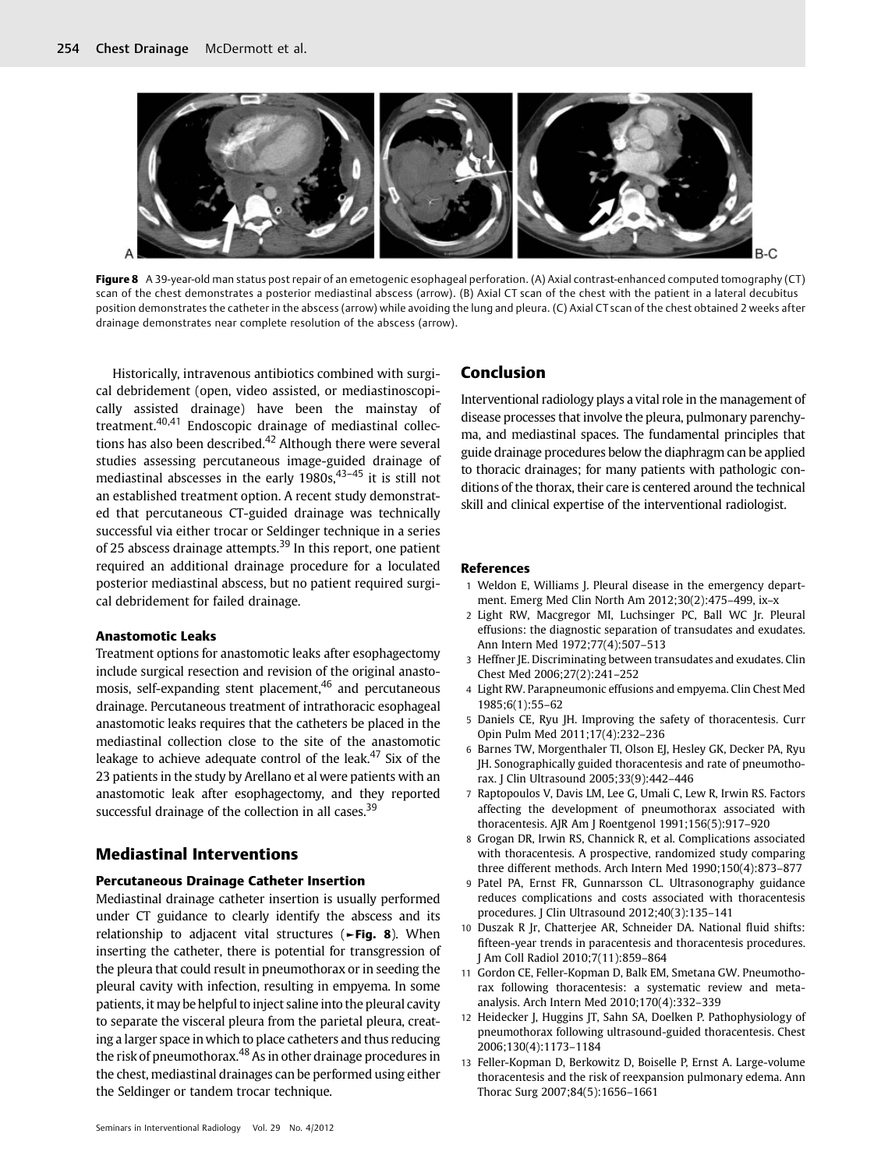

Figure 8 A 39-year-old man status post repair of an emetogenic esophageal perforation. (A) Axial contrast-enhanced computed tomography (CT) scan of the chest demonstrates a posterior mediastinal abscess (arrow). (B) Axial CT scan of the chest with the patient in a lateral decubitus position demonstrates the catheter in the abscess (arrow) while avoiding the lung and pleura. (C) Axial CT scan of the chest obtained 2 weeks after drainage demonstrates near complete resolution of the abscess (arrow).

Historically, intravenous antibiotics combined with surgical debridement (open, video assisted, or mediastinoscopically assisted drainage) have been the mainstay of treatment.40,41 Endoscopic drainage of mediastinal collections has also been described.<sup>42</sup> Although there were several studies assessing percutaneous image-guided drainage of mediastinal abscesses in the early  $1980s$ ,  $43-45$  it is still not an established treatment option. A recent study demonstrated that percutaneous CT-guided drainage was technically successful via either trocar or Seldinger technique in a series of 25 abscess drainage attempts. $39$  In this report, one patient required an additional drainage procedure for a loculated posterior mediastinal abscess, but no patient required surgical debridement for failed drainage.

#### Anastomotic Leaks

Treatment options for anastomotic leaks after esophagectomy include surgical resection and revision of the original anastomosis, self-expanding stent placement,<sup>46</sup> and percutaneous drainage. Percutaneous treatment of intrathoracic esophageal anastomotic leaks requires that the catheters be placed in the mediastinal collection close to the site of the anastomotic leakage to achieve adequate control of the leak. $47$  Six of the 23 patients in the study by Arellano et al were patients with an anastomotic leak after esophagectomy, and they reported successful drainage of the collection in all cases.<sup>39</sup>

## Mediastinal Interventions

#### Percutaneous Drainage Catheter Insertion

Mediastinal drainage catheter insertion is usually performed under CT guidance to clearly identify the abscess and its relationship to adjacent vital structures ( $\blacktriangleright$ Fig. 8). When inserting the catheter, there is potential for transgression of the pleura that could result in pneumothorax or in seeding the pleural cavity with infection, resulting in empyema. In some patients, it may be helpful to inject saline into the pleural cavity to separate the visceral pleura from the parietal pleura, creating a larger space in which to place catheters and thus reducing the risk of pneumothorax.<sup>48</sup> As in other drainage procedures in the chest, mediastinal drainages can be performed using either the Seldinger or tandem trocar technique.

## Conclusion

Interventional radiology plays a vital role in the management of disease processes that involve the pleura, pulmonary parenchyma, and mediastinal spaces. The fundamental principles that guide drainage procedures below the diaphragm can be applied to thoracic drainages; for many patients with pathologic conditions of the thorax, their care is centered around the technical skill and clinical expertise of the interventional radiologist.

#### References

- 1 Weldon E, Williams J. Pleural disease in the emergency department. Emerg Med Clin North Am 2012;30(2):475–499, ix–x
- 2 Light RW, Macgregor MI, Luchsinger PC, Ball WC Jr. Pleural effusions: the diagnostic separation of transudates and exudates. Ann Intern Med 1972;77(4):507–513
- 3 Heffner JE. Discriminating between transudates and exudates. Clin Chest Med 2006;27(2):241–252
- 4 Light RW. Parapneumonic effusions and empyema. Clin Chest Med 1985;6(1):55–62
- 5 Daniels CE, Ryu JH. Improving the safety of thoracentesis. Curr Opin Pulm Med 2011;17(4):232–236
- 6 Barnes TW, Morgenthaler TI, Olson EJ, Hesley GK, Decker PA, Ryu JH. Sonographically guided thoracentesis and rate of pneumothorax. J Clin Ultrasound 2005;33(9):442–446
- 7 Raptopoulos V, Davis LM, Lee G, Umali C, Lew R, Irwin RS. Factors affecting the development of pneumothorax associated with thoracentesis. AJR Am J Roentgenol 1991;156(5):917–920
- 8 Grogan DR, Irwin RS, Channick R, et al. Complications associated with thoracentesis. A prospective, randomized study comparing three different methods. Arch Intern Med 1990;150(4):873–877
- 9 Patel PA, Ernst FR, Gunnarsson CL. Ultrasonography guidance reduces complications and costs associated with thoracentesis procedures. J Clin Ultrasound 2012;40(3):135–141
- 10 Duszak R Jr, Chatterjee AR, Schneider DA. National fluid shifts: fifteen-year trends in paracentesis and thoracentesis procedures. J Am Coll Radiol 2010;7(11):859–864
- 11 Gordon CE, Feller-Kopman D, Balk EM, Smetana GW. Pneumothorax following thoracentesis: a systematic review and metaanalysis. Arch Intern Med 2010;170(4):332–339
- 12 Heidecker J, Huggins JT, Sahn SA, Doelken P. Pathophysiology of pneumothorax following ultrasound-guided thoracentesis. Chest 2006;130(4):1173–1184
- 13 Feller-Kopman D, Berkowitz D, Boiselle P, Ernst A. Large-volume thoracentesis and the risk of reexpansion pulmonary edema. Ann Thorac Surg 2007;84(5):1656–1661